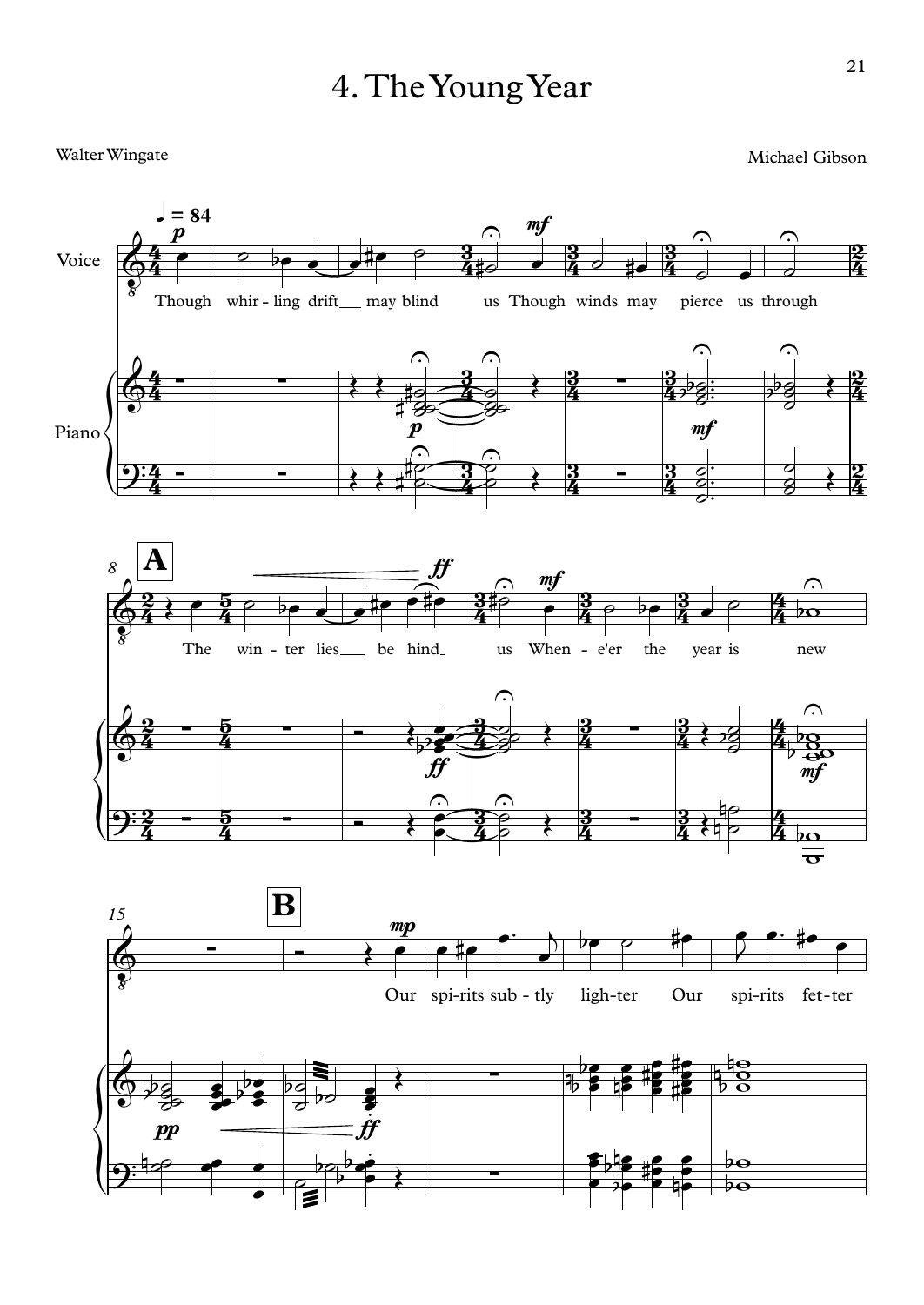## 4.TheYoungYear

Walter Wingate

Michael Gibson

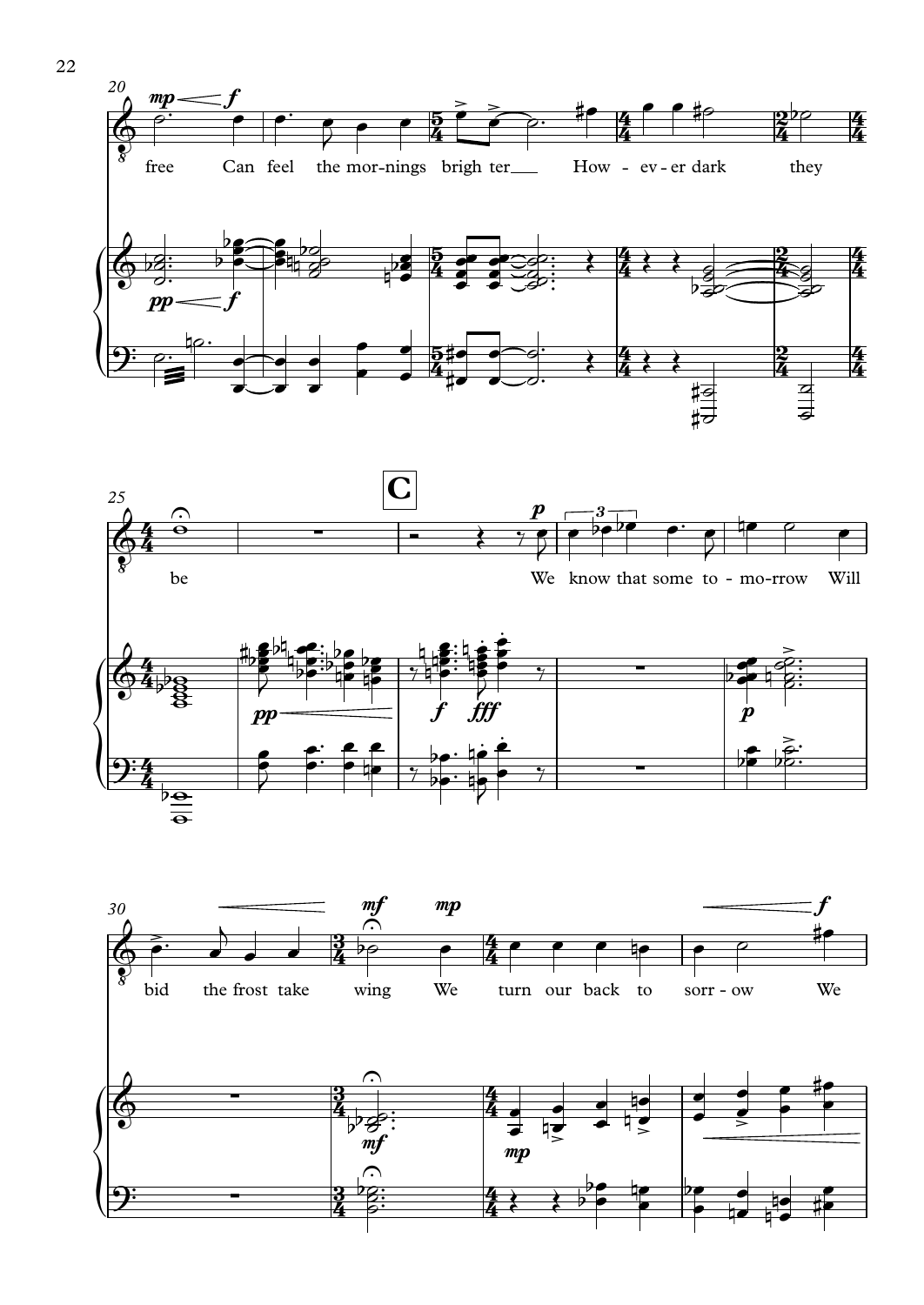





22